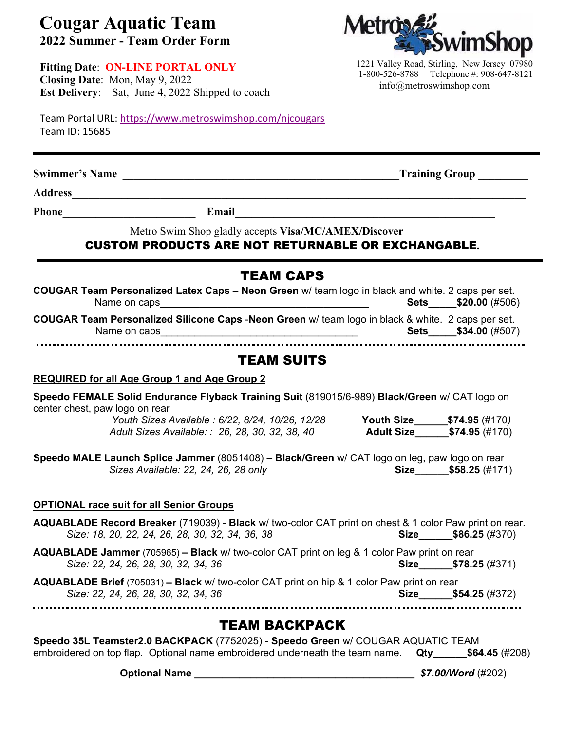## **Cougar Aquatic Team 2022 Summer - Team Order Form**

**Fitting Date**: **ON-LINE PORTAL ONLY Closing Date**: Mon, May 9, 2022 **Est Delivery**: Sat, June 4, 2022 Shipped to coach

Team Portal URL: https://www.metroswimshop.com/njcougars Team ID: 15685

**Swimmer's Name \_\_\_\_\_\_\_\_\_\_\_\_\_\_\_\_\_\_\_\_\_\_\_\_\_\_\_\_\_\_\_\_\_\_\_\_\_\_\_\_\_\_\_\_\_\_\_\_\_\_Training Group \_\_\_\_\_\_\_\_\_** 

**Address\_\_\_\_\_\_\_\_\_\_\_\_\_\_\_\_\_\_\_\_\_\_\_\_\_\_\_\_\_\_\_\_\_\_\_\_\_\_\_\_\_\_\_\_\_\_\_\_\_\_\_\_\_\_\_\_\_\_\_\_\_\_\_\_\_\_\_\_\_\_\_\_\_\_\_\_\_\_\_\_\_\_** 

**Phone\_\_\_\_\_\_\_\_\_\_\_\_\_\_\_\_\_\_\_\_\_\_\_\_ Email\_\_\_\_\_\_\_\_\_\_\_\_\_\_\_\_\_\_\_\_\_\_\_\_\_\_\_\_\_\_\_\_\_\_\_\_\_\_\_\_\_\_\_\_\_\_\_** 

Metro Swim Shop gladly accepts **Visa/MC/AMEX/Discover** 

## CUSTOM PRODUCTS ARE NOT RETURNABLE OR EXCHANGABLE**.**

| <b>TEAM CAPS</b>                                                                                                                                           |  |  |                                     |  |  |  |  |  |
|------------------------------------------------------------------------------------------------------------------------------------------------------------|--|--|-------------------------------------|--|--|--|--|--|
| COUGAR Team Personalized Latex Caps - Neon Green w/ team logo in black and white. 2 caps per set.                                                          |  |  | <b>Sets</b> \$20.00 (#506)          |  |  |  |  |  |
| COUGAR Team Personalized Silicone Caps -Neon Green w/ team logo in black & white. 2 caps per set.                                                          |  |  | <b>Sets</b> \$34.00 (#507)          |  |  |  |  |  |
| <b>TEAM SUITS</b>                                                                                                                                          |  |  |                                     |  |  |  |  |  |
| <b>REQUIRED for all Age Group 1 and Age Group 2</b>                                                                                                        |  |  |                                     |  |  |  |  |  |
| Speedo FEMALE Solid Endurance Flyback Training Suit (819015/6-989) Black/Green w/ CAT logo on<br>center chest, paw logo on rear                            |  |  |                                     |  |  |  |  |  |
| Youth Sizes Available : 6/22, 8/24, 10/26, 12/28 Youth Size _______ \$74.95 (#170)<br>Adult Sizes Available: : 26, 28, 30, 32, 38, 40                      |  |  | Adult Size___________\$74.95 (#170) |  |  |  |  |  |
| Speedo MALE Launch Splice Jammer (8051408) - Black/Green w/ CAT logo on leg, paw logo on rear<br>Sizes Available: 22, 24, 26, 28 only                      |  |  | Size \$58.25 (#171)                 |  |  |  |  |  |
| <b>OPTIONAL race suit for all Senior Groups</b>                                                                                                            |  |  |                                     |  |  |  |  |  |
| AQUABLADE Record Breaker (719039) - Black w/ two-color CAT print on chest & 1 color Paw print on rear.<br>Size: 18, 20, 22, 24, 26, 28, 30, 32, 34, 36, 38 |  |  | Size \$86.25 (#370)                 |  |  |  |  |  |
| <b>AQUABLADE Jammer</b> (705965) - Black w/ two-color CAT print on leg & 1 color Paw print on rear<br>Size: 22, 24, 26, 28, 30, 32, 34, 36                 |  |  | Size \$78.25 (#371)                 |  |  |  |  |  |
| AQUABLADE Brief (705031) - Black w/ two-color CAT print on hip & 1 color Paw print on rear<br>Size: 22, 24, 26, 28, 30, 32, 34, 36                         |  |  | Size $$54.25 \,(#372)$              |  |  |  |  |  |
| TEAM BACKPACK                                                                                                                                              |  |  |                                     |  |  |  |  |  |

**Speedo 35L Teamster2.0 BACKPACK** (7752025) - **Speedo Green** w/ COUGAR AQUATIC TEAM embroidered on top flap. Optional name embroidered underneath the team name. **Qty\_\_\_\_\_\_\$64.45** (#208)

 **Optional Name \_\_\_\_\_\_\_\_\_\_\_\_\_\_\_\_\_\_\_\_\_\_\_\_\_\_\_\_\_\_\_\_\_\_\_\_\_\_\_** *\$7.00/Word* (#202)



1221 Valley Road, Stirling, New Jersey 07980 1-800-526-8788 Telephone #: 908-647-8121 info@metroswimshop.com